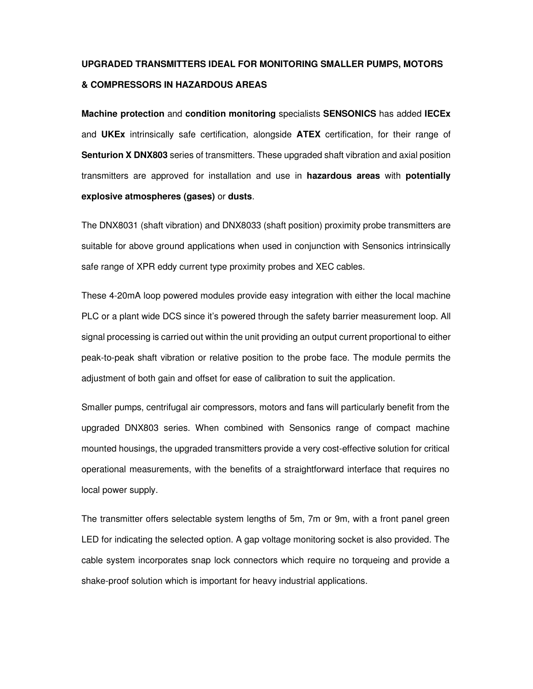## **UPGRADED TRANSMITTERS IDEAL FOR MONITORING SMALLER PUMPS, MOTORS & COMPRESSORS IN HAZARDOUS AREAS**

**Machine protection** and **condition monitoring** specialists **SENSONICS** has added **IECEx** and **UKEx** intrinsically safe certification, alongside **ATEX** certification, for their range of **Senturion X DNX803** series of transmitters. These upgraded shaft vibration and axial position transmitters are approved for installation and use in **hazardous areas** with **potentially explosive atmospheres (gases)** or **dusts**.

The DNX8031 (shaft vibration) and DNX8033 (shaft position) proximity probe transmitters are suitable for above ground applications when used in conjunction with Sensonics intrinsically safe range of XPR eddy current type proximity probes and XEC cables.

These 4-20mA loop powered modules provide easy integration with either the local machine PLC or a plant wide DCS since it's powered through the safety barrier measurement loop. All signal processing is carried out within the unit providing an output current proportional to either peak-to-peak shaft vibration or relative position to the probe face. The module permits the adjustment of both gain and offset for ease of calibration to suit the application.

Smaller pumps, centrifugal air compressors, motors and fans will particularly benefit from the upgraded DNX803 series. When combined with Sensonics range of compact machine mounted housings, the upgraded transmitters provide a very cost-effective solution for critical operational measurements, with the benefits of a straightforward interface that requires no local power supply.

The transmitter offers selectable system lengths of 5m, 7m or 9m, with a front panel green LED for indicating the selected option. A gap voltage monitoring socket is also provided. The cable system incorporates snap lock connectors which require no torqueing and provide a shake-proof solution which is important for heavy industrial applications.